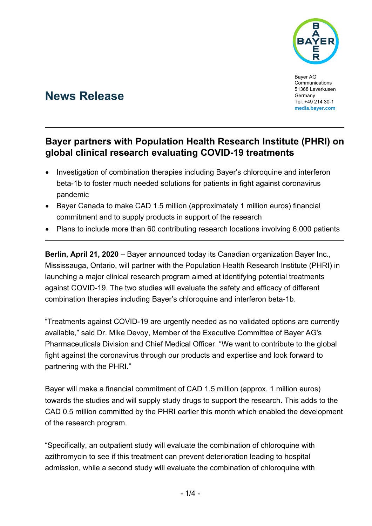

Bayer AG **Communications** 51368 Leverkusen Germany Tel. +49 214 30-1 **media.bayer.com**

# **News Release**

## **Bayer partners with Population Health Research Institute (PHRI) on global clinical research evaluating COVID-19 treatments**

- Investigation of combination therapies including Bayer's chloroquine and interferon beta-1b to foster much needed solutions for patients in fight against coronavirus pandemic
- Bayer Canada to make CAD 1.5 million (approximately 1 million euros) financial commitment and to supply products in support of the research
- Plans to include more than 60 contributing research locations involving 6.000 patients

**Berlin, April 21, 2020** – Bayer announced today its Canadian organization Bayer Inc., Mississauga, Ontario, will partner with the Population Health Research Institute (PHRI) in launching a major clinical research program aimed at identifying potential treatments against COVID-19. The two studies will evaluate the safety and efficacy of different combination therapies including Bayer's chloroquine and interferon beta-1b.

"Treatments against COVID-19 are urgently needed as no validated options are currently available," said Dr. Mike Devoy, Member of the Executive Committee of Bayer AG's Pharmaceuticals Division and Chief Medical Officer. "We want to contribute to the global fight against the coronavirus through our products and expertise and look forward to partnering with the PHRI."

Bayer will make a financial commitment of CAD 1.5 million (approx. 1 million euros) towards the studies and will supply study drugs to support the research. This adds to the CAD 0.5 million committed by the PHRI earlier this month which enabled the development of the research program.

"Specifically, an outpatient study will evaluate the combination of chloroquine with azithromycin to see if this treatment can prevent deterioration leading to hospital admission, while a second study will evaluate the combination of chloroquine with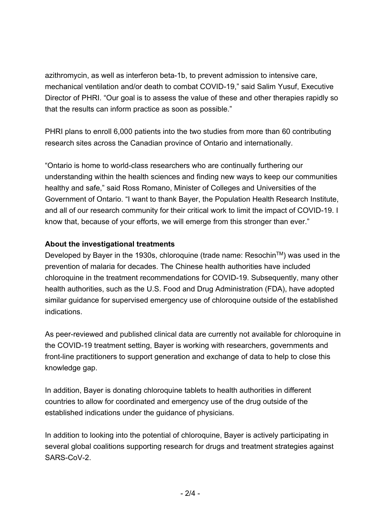azithromycin, as well as interferon beta-1b, to prevent admission to intensive care, mechanical ventilation and/or death to combat COVID-19," said Salim Yusuf, Executive Director of PHRI. "Our goal is to assess the value of these and other therapies rapidly so that the results can inform practice as soon as possible."

PHRI plans to enroll 6,000 patients into the two studies from more than 60 contributing research sites across the Canadian province of Ontario and internationally.

"Ontario is home to world-class researchers who are continually furthering our understanding within the health sciences and finding new ways to keep our communities healthy and safe," said Ross Romano, Minister of Colleges and Universities of the Government of Ontario. "I want to thank Bayer, the Population Health Research Institute, and all of our research community for their critical work to limit the impact of COVID-19. I know that, because of your efforts, we will emerge from this stronger than ever."

### **About the investigational treatments**

Developed by Bayer in the 1930s, chloroquine (trade name: Resochin™) was used in the prevention of malaria for decades. The Chinese health authorities have included chloroquine in the treatment recommendations for COVID-19. Subsequently, many other health authorities, such as the U.S. Food and Drug Administration (FDA), have adopted similar guidance for supervised emergency use of chloroquine outside of the established indications.

As peer-reviewed and published clinical data are currently not available for chloroquine in the COVID-19 treatment setting, Bayer is working with researchers, governments and front-line practitioners to support generation and exchange of data to help to close this knowledge gap.

In addition, Bayer is donating chloroquine tablets to health authorities in different countries to allow for coordinated and emergency use of the drug outside of the established indications under the guidance of physicians.

In addition to looking into the potential of chloroquine, Bayer is actively participating in several global coalitions supporting research for drugs and treatment strategies against SARS-CoV-2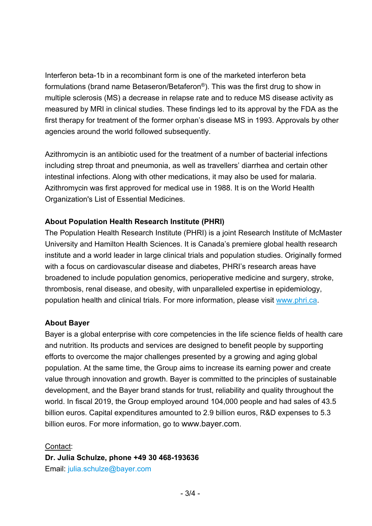Interferon beta-1b in a recombinant form is one of the marketed interferon beta formulations (brand name Betaseron/Betaferon®). This was the first drug to show in multiple sclerosis (MS) a decrease in relapse rate and to reduce MS disease activity as measured by MRI in clinical studies. These findings led to its approval by the FDA as the first therapy for treatment of the former orphan's disease MS in 1993. Approvals by other agencies around the world followed subsequently.

Azithromycin is an antibiotic used for the treatment of a number of bacterial infections including strep throat and pneumonia, as well as travellers' diarrhea and certain other intestinal infections. Along with other medications, it may also be used for malaria. Azithromycin was first approved for medical use in 1988. It is on the World Health Organization's List of Essential Medicines.

### **About Population Health Research Institute (PHRI)**

The Population Health Research Institute (PHRI) is a joint Research Institute of McMaster University and Hamilton Health Sciences. It is Canada's premiere global health research institute and a world leader in large clinical trials and population studies. Originally formed with a focus on cardiovascular disease and diabetes, PHRI's research areas have broadened to include population genomics, perioperative medicine and surgery, stroke, thrombosis, renal disease, and obesity, with unparalleled expertise in epidemiology, population health and clinical trials. For more information, please visit www.phri.ca.

#### **About Bayer**

Bayer is a global enterprise with core competencies in the life science fields of health care and nutrition. Its products and services are designed to benefit people by supporting efforts to overcome the major challenges presented by a growing and aging global population. At the same time, the Group aims to increase its earning power and create value through innovation and growth. Bayer is committed to the principles of sustainable development, and the Bayer brand stands for trust, reliability and quality throughout the world. In fiscal 2019, the Group employed around 104,000 people and had sales of 43.5 billion euros. Capital expenditures amounted to 2.9 billion euros, R&D expenses to 5.3 billion euros. For more information, go to www.bayer.com.

Contact:

**Dr. Julia Schulze, phone +49 30 468-193636** 

Email: julia.schulze@bayer.com